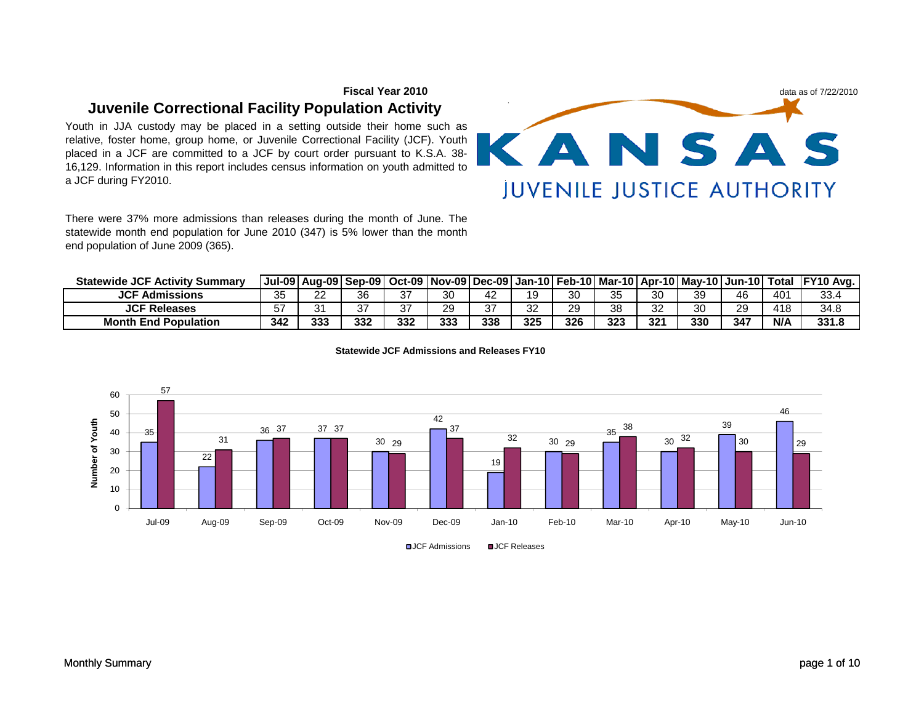# **Fiscal Year 2010Juvenile Correctional Facility Population Activity**

Youth in JJA custody may be placed in <sup>a</sup> setting outside their home such as relative, foster home, group home, or Juvenile Correctional Facility (JCF). Youth placed in <sup>a</sup> JCF are committed to <sup>a</sup> JCF by court order pursuant to K.S.A. 38- 16,129. Information in this report includes census information on youth admitted toa JCF during FY2010.

There were 37% more admissions than releases during the month of June. The statewide month end population for June 2010 (347) is 5% lower than the monthend population of June 2009 (365).

| Statewide JCF<br><b>Activity Summary</b> . |          |                 | Jul-09   Aug-09   Sep-09 |     |     |           |          |     |          |              | ∣ Oct-09   Nov-09  Dec-09  Jan-10   Feb-10   Mar-10   Apr-10   May-10   Jun-10   Total |     |     | <b>FY10 Avg.</b> |
|--------------------------------------------|----------|-----------------|--------------------------|-----|-----|-----------|----------|-----|----------|--------------|----------------------------------------------------------------------------------------|-----|-----|------------------|
| <b>JCF Admissions</b>                      | 35       | າາ<br><u>__</u> | 36                       | 37  | 30  | 42        | ۱9       | 30  | つよ<br>ບບ | 30           | 39                                                                                     | 46  | 401 | 33.4             |
| <b>JCF Releases</b>                        | 57<br>J. | ^ 1<br>ັ        | 37                       | 37  | 29  | 27<br>، ت | つつ<br>ےر | 29  | 38       | $\sim$<br>ےر | 30                                                                                     | 29  | 418 | 34.8             |
| <b>Month End Population</b>                | 342      | 333             | 332                      | 332 | 333 | 338       | 325      | 326 | 323      | 321          | 330                                                                                    | 347 | N/A | 331.8            |



**Statewide JCF Admissions and Releases FY10**

**□JCF Admissions** □JCF Releases

data as of 7/22/2010

KANSAS

**JUVENILE JUSTICE AUTHORITY**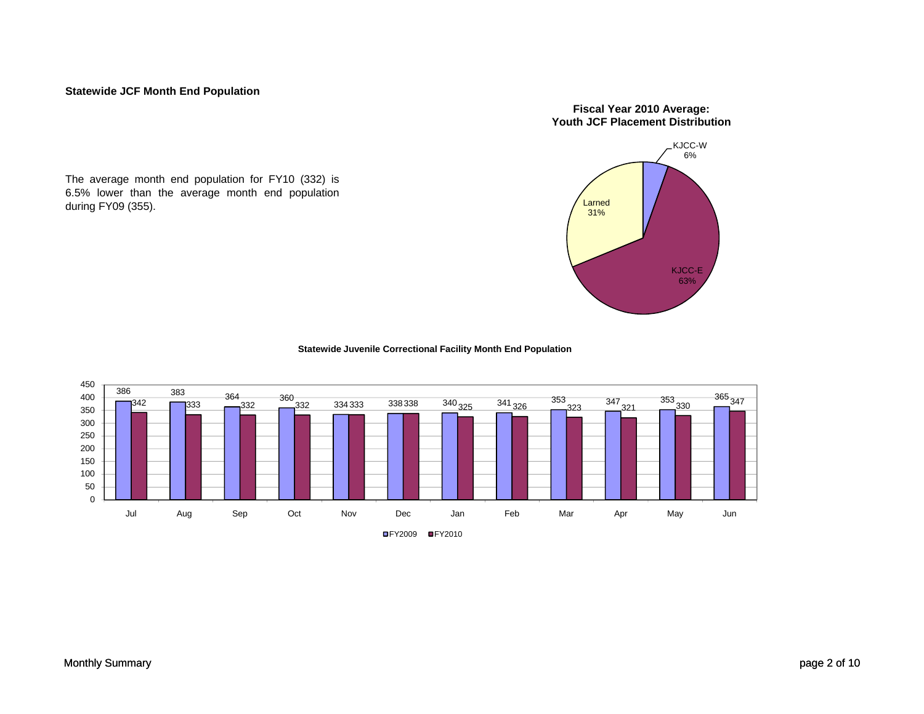#### **Statewide JCF Month End Population**

The average month end population for FY10 (332) is 6.5% lower than the average month end populationduring FY09 (355).

#### **Fiscal Year 2010 Average: Youth JCF Placement Distribution**



**Statewide Juvenile Correctional Facility Month End Population** 

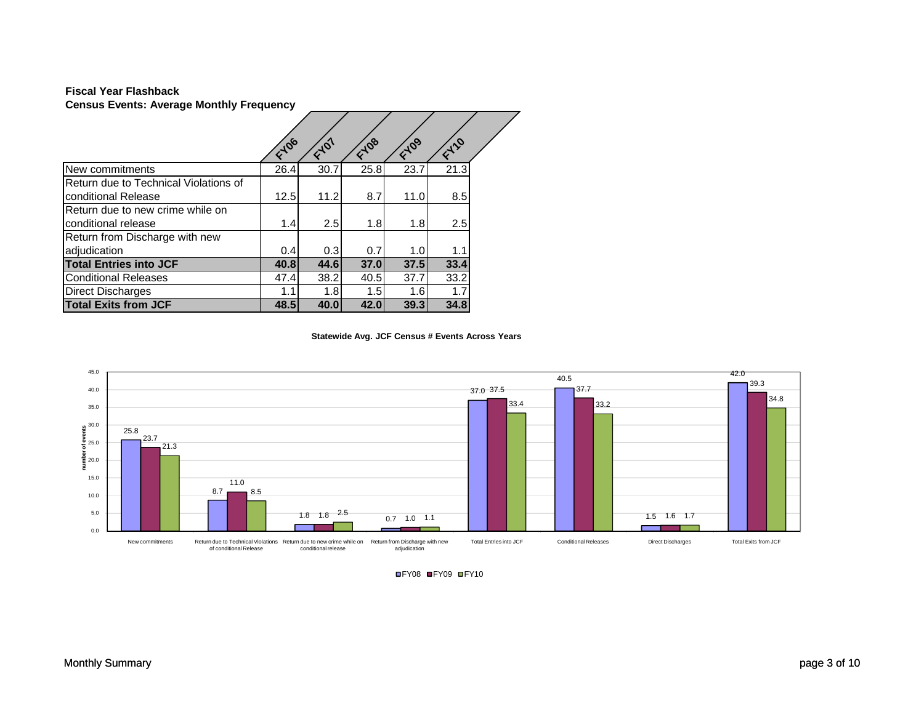#### **Census Events: Average Monthly Frequency Fiscal Year Flashback**

|                                       | F-106 | $\epsilon^{10^{1}}$ | Flos | E109             | FILO |  |
|---------------------------------------|-------|---------------------|------|------------------|------|--|
| New commitments                       | 26.4  | 30.7                | 25.8 | 23.7             | 21.3 |  |
| Return due to Technical Violations of |       |                     |      |                  |      |  |
| conditional Release                   | 12.5  | 11.2                | 8.7  | 11.0             | 8.5  |  |
| Return due to new crime while on      |       |                     |      |                  |      |  |
| conditional release                   | 1.4   | 2.5                 | 1.8  | 1.8              | 2.5  |  |
| Return from Discharge with new        |       |                     |      |                  |      |  |
| adjudication                          | 0.4   | 0.3                 | 0.7  | 1.0 <sub>l</sub> | 1.1  |  |
| <b>Total Entries into JCF</b>         | 40.8  | 44.6                | 37.0 | 37.5             | 33.4 |  |
| <b>Conditional Releases</b>           | 47.4  | 38.2                | 40.5 | 37.7             | 33.2 |  |
| <b>Direct Discharges</b>              | 1.1   | 1.8                 | 1.5  | 1.6              | 1.7  |  |
| <b>Total Exits from JCF</b>           | 48.5  | 40.0                | 42.0 | 39.3             | 34.8 |  |

**Statewide Avg. JCF Census # Events Across Years** 



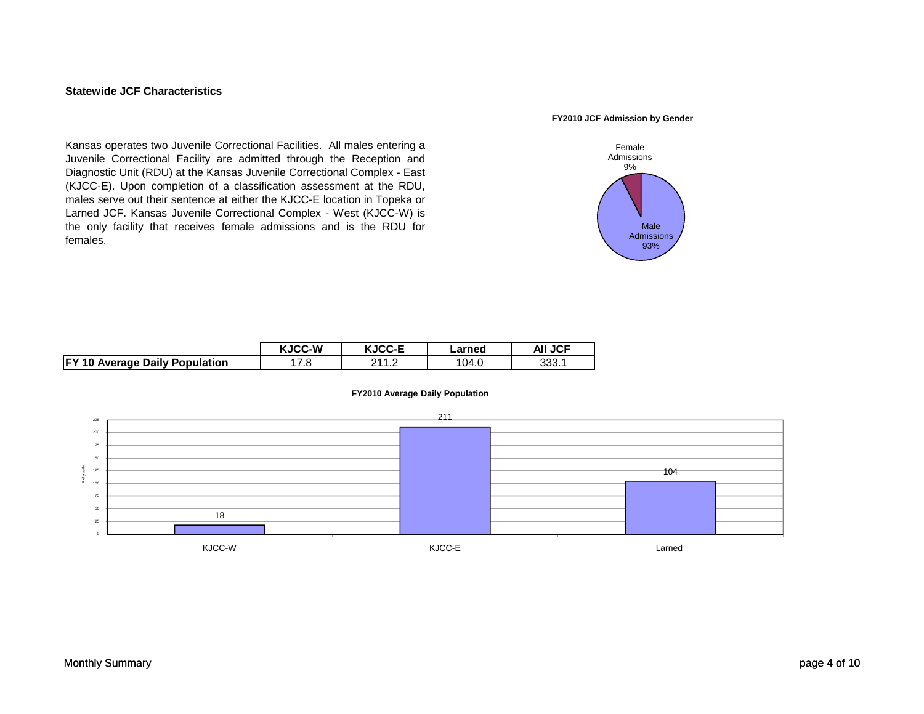#### **Statewide JCF Characteristics**

#### **FY2010 JCF Admission by Gender**

Kansas operates two Juvenile Correctional Facilities. All males entering <sup>a</sup> Juvenile Correctional Facility are admitted through the Reception and Diagnostic Unit (RDU) at the Kansas Juvenile Correctional Complex - East (KJCC-E). Upon completion of <sup>a</sup> classification assessment at the RDU, males serve out their sentence at either the KJCC-E location in Topeka or Larned JCF. Kansas Juvenile Correctional Complex - West (KJCC-W) is the only facility that receives female admissions and is the RDU for females.



|                                       | <b>KJCC-W</b> | <b>KJCC-E</b>       | ∟arned | <b>AII JCF</b> |
|---------------------------------------|---------------|---------------------|--------|----------------|
| <b>FY 10 Average Daily Population</b> | 7.8           | . . <u>.</u><br>. I | 104.0  | 333.1          |



#### **FY2010 Average Daily Population**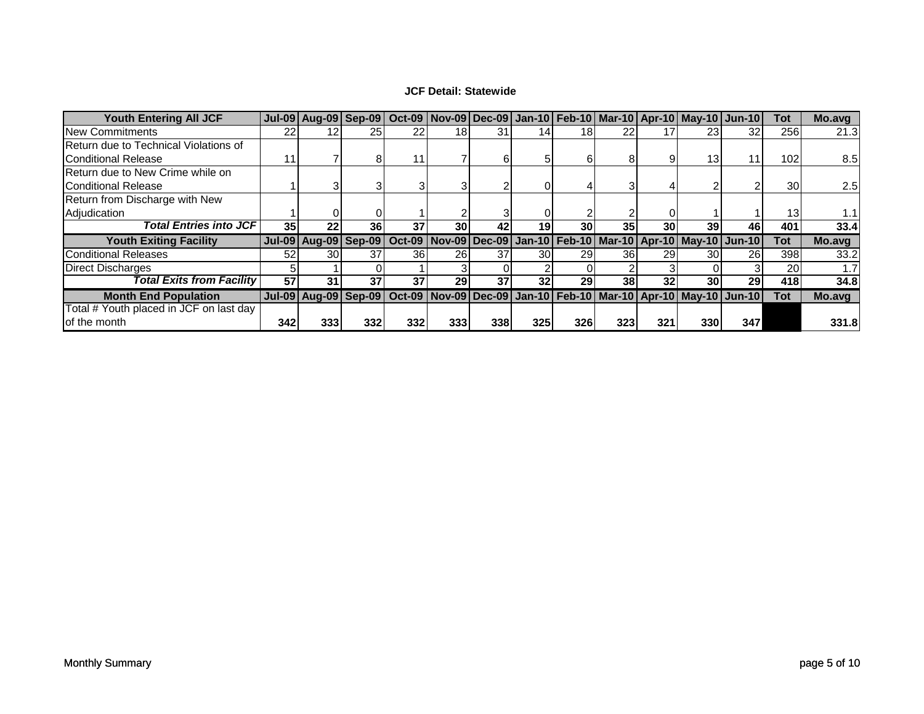### **JCF Detail: Statewide**

| <b>Youth Entering All JCF</b>           |     |                 |                 |     |                 |            |                 |           |     |     | Jul-09 Aug-09 Sep-09   Oct-09   Nov-09   Dec-09   Jan-10   Feb-10   Mar-10   Apr-10   May-10   Jun-10 |           | Tot | Mo.avg |
|-----------------------------------------|-----|-----------------|-----------------|-----|-----------------|------------|-----------------|-----------|-----|-----|-------------------------------------------------------------------------------------------------------|-----------|-----|--------|
| <b>New Commitments</b>                  | 22  | 12 <sub>1</sub> | 25 <sub>1</sub> | 22  | 18 <sub>l</sub> | 31         |                 | 18        |     |     | 23                                                                                                    | 32        | 256 | 21.3   |
| Return due to Technical Violations of   |     |                 |                 |     |                 |            |                 |           |     |     |                                                                                                       |           |     |        |
| <b>Conditional Release</b>              | 11  |                 | 81              | 11  |                 |            |                 | ы         |     |     | 13 <sub>1</sub>                                                                                       |           | 102 | 8.5    |
| Return due to New Crime while on        |     |                 |                 |     |                 |            |                 |           |     |     |                                                                                                       |           |     |        |
| Conditional Release                     |     |                 |                 |     |                 |            |                 |           |     |     |                                                                                                       |           | 30  | 2.5    |
| Return from Discharge with New          |     |                 |                 |     |                 |            |                 |           |     |     |                                                                                                       |           |     |        |
| Adjudication                            |     |                 |                 |     |                 |            |                 |           |     |     |                                                                                                       |           | 13  |        |
| Total Entries into JCF I                | 35  | 22              | 36              | 37  | 30 <sub>l</sub> | 42         | 19 <sub>1</sub> | <b>30</b> | 35  | 30  | 39                                                                                                    | 46        | 401 | 33.4   |
| <b>Youth Exiting Facility</b>           |     |                 |                 |     |                 |            |                 |           |     |     | Jul-09 Aug-09 Sep-09   Oct-09   Nov-09   Dec-09   Jan-10   Feb-10   Mar-10   Apr-10   May-10   Jun-10 |           | Tot | Mo.avg |
| <b>Conditional Releases</b>             | 52  | 30 <sup>I</sup> | 37              | 36  | 26I             | 37         | 30I             | 291       | 361 | 29  | 30                                                                                                    | 26I       | 398 | 33.2   |
| Direct Discharges                       |     |                 |                 |     |                 |            |                 |           |     |     |                                                                                                       |           | 20  |        |
| Total Exits from Facility               | 57  | 31              | 37              | 37  | 29              | 37         | 32 <sub>l</sub> | ا29       | 381 | 32  | 30                                                                                                    | <b>29</b> | 418 | 34.8   |
| <b>Month End Population</b>             |     |                 |                 |     |                 |            |                 |           |     |     | Jul-09 Aug-09 Sep-09 Oct-09 Nov-09 Dec-09 Jan-10 Feb-10 Mar-10 Apr-10 May-10 Jun-10                   |           | Tot | Mo.avg |
| Total # Youth placed in JCF on last day |     |                 |                 |     |                 |            |                 |           |     |     |                                                                                                       |           |     |        |
| of the month                            | 342 | 3331            | 332             | 332 | <b>3331</b>     | <b>338</b> | 325             | 326       | 323 | 321 | 330                                                                                                   | 347       |     | 331.8  |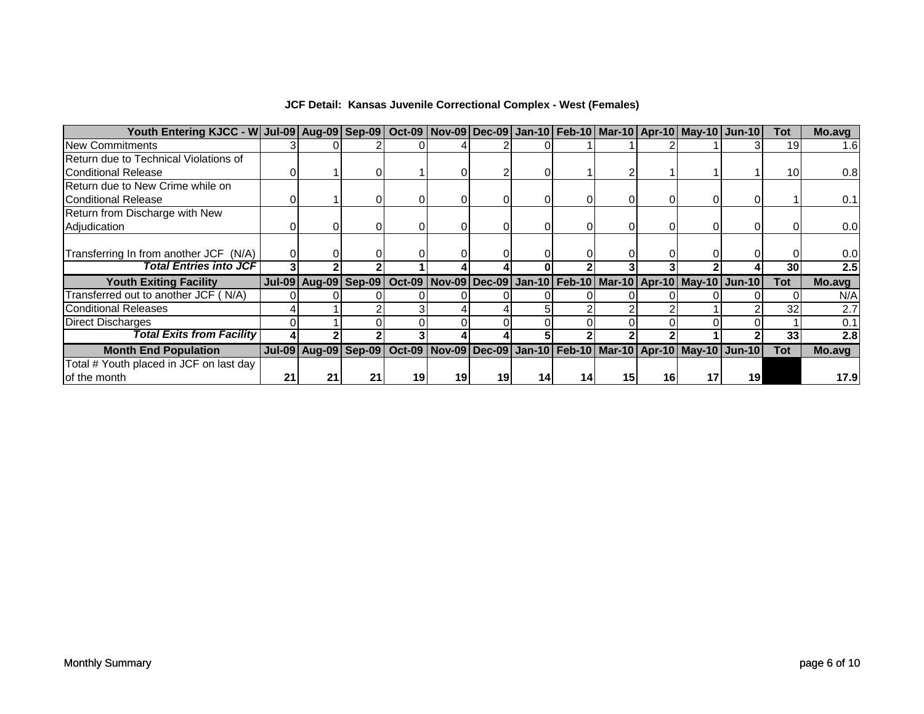| Youth Entering KJCC - W Jul-09 Aug-09 Sep-09 Oct-09 Nov-09 Dec-09 Jan-10 Feb-10 Mar-10 Apr-10 May-10 Jun-10 |    |                             |    |    |    |    |    |    |    |                                                                                |    | Tot        | Mo.avg |
|-------------------------------------------------------------------------------------------------------------|----|-----------------------------|----|----|----|----|----|----|----|--------------------------------------------------------------------------------|----|------------|--------|
| <b>New Commitments</b>                                                                                      |    |                             |    |    |    |    |    |    |    |                                                                                |    | 19         | 1.6    |
| Return due to Technical Violations of                                                                       |    |                             |    |    |    |    |    |    |    |                                                                                |    |            |        |
| <b>IConditional Release</b>                                                                                 |    |                             |    |    |    |    |    |    |    |                                                                                |    | 10         | 0.8    |
| Return due to New Crime while on                                                                            |    |                             |    |    |    |    |    |    |    |                                                                                |    |            |        |
| <b>IConditional Release</b>                                                                                 |    |                             |    |    |    |    |    |    |    |                                                                                |    |            | 0.1    |
| Return from Discharge with New                                                                              |    |                             |    |    |    |    |    |    |    |                                                                                |    |            |        |
| Adjudication                                                                                                |    |                             |    |    |    |    |    |    |    |                                                                                |    |            | 0.0    |
|                                                                                                             |    |                             |    |    |    |    |    |    |    |                                                                                |    |            |        |
| Transferring In from another JCF (N/A)                                                                      |    |                             |    |    |    |    |    |    |    |                                                                                |    |            | 0.0    |
| <b>Total Entries into JCF</b>                                                                               |    |                             |    |    |    |    |    |    |    |                                                                                |    | 30         | 2.5    |
| <b>Youth Exiting Facility</b>                                                                               |    | <b>Jul-09 Aug-09 Sep-09</b> |    |    |    |    |    |    |    | Oct-09   Nov-09   Dec-09   Jan-10   Feb-10   Mar-10   Apr-10   May-10   Jun-10 |    | <b>Tot</b> | Mo.avg |
| Transferred out to another JCF (N/A)                                                                        |    |                             |    |    |    |    |    |    |    |                                                                                |    |            | N/A    |
| <b>Conditional Releases</b>                                                                                 |    |                             |    |    |    |    |    |    |    |                                                                                |    | 32         | 2.7    |
| <b>Direct Discharges</b>                                                                                    |    |                             |    |    |    |    |    |    |    |                                                                                |    |            | 0.1    |
| Total Exits from Facility                                                                                   |    |                             |    |    |    |    |    |    |    |                                                                                |    | 33         | 2.8    |
| <b>Month End Population</b>                                                                                 |    | <b>Jul-09 Aug-09 Sep-09</b> |    |    |    |    |    |    |    | Oct-09   Nov-09   Dec-09   Jan-10   Feb-10   Mar-10   Apr-10   May-10   Jun-10 |    | <b>Tot</b> | Mo.avg |
| Total # Youth placed in JCF on last day                                                                     |    |                             |    |    |    |    |    |    |    |                                                                                |    |            |        |
| of the month                                                                                                | 21 | 21                          | 21 | 19 | 19 | 19 | 14 | 15 | 16 |                                                                                | 19 |            | 17.9   |

## **JCF Detail: Kansas Juvenile Correctional Complex - West (Females)**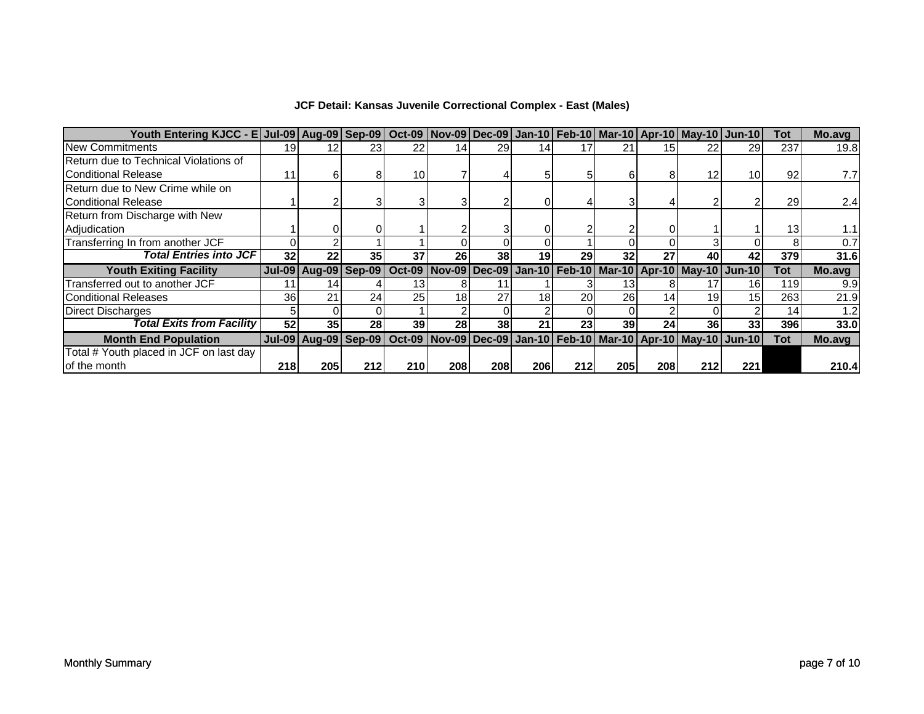| Youth Entering KJCC - E Jul-09 Aug-09 Sep-09   Oct-09   Nov-09   Dec-09   Jan-10   Feb-10   Mar-10   Apr-10   May-10   Jun-10 |     |                             |                 |           |                 |     |     |                 |           |                 |                                                                                |                 | Tot        | Mo.avg |
|-------------------------------------------------------------------------------------------------------------------------------|-----|-----------------------------|-----------------|-----------|-----------------|-----|-----|-----------------|-----------|-----------------|--------------------------------------------------------------------------------|-----------------|------------|--------|
| <b>New Commitments</b>                                                                                                        | 19  | 12 <sub>1</sub>             | 23 <sub>l</sub> | 22        | 14              | 29  |     |                 |           |                 |                                                                                | 29              | 237        | 19.8   |
| Return due to Technical Violations of                                                                                         |     |                             |                 |           |                 |     |     |                 |           |                 |                                                                                |                 |            |        |
| Conditional Release                                                                                                           | 11  |                             |                 | 10I       |                 |     |     |                 |           |                 | 12                                                                             | 10              | 92         | 7.7    |
| Return due to New Crime while on                                                                                              |     |                             |                 |           |                 |     |     |                 |           |                 |                                                                                |                 |            |        |
| <b>Conditional Release</b>                                                                                                    |     |                             |                 |           |                 |     |     |                 |           |                 |                                                                                |                 | 29         | 2.4    |
| Return from Discharge with New                                                                                                |     |                             |                 |           |                 |     |     |                 |           |                 |                                                                                |                 |            |        |
| Adjudication                                                                                                                  |     |                             |                 |           |                 |     |     |                 |           |                 |                                                                                |                 | 13         | 1.1    |
| Transferring In from another JCF                                                                                              |     |                             |                 |           |                 |     |     |                 |           |                 |                                                                                |                 |            | 0.7    |
| <b>Total Entries into JCF</b>                                                                                                 | 32  | 22                          | 35 <sub>1</sub> | 37        | 26              | 38  | 19  | 29              | 32        | 27              | 40                                                                             | 42              | 379        | 31.6   |
| <b>Youth Exiting Facility</b>                                                                                                 |     | <b>Jul-09 Aug-09 Sep-09</b> |                 |           |                 |     |     |                 |           |                 | Oct-09 Nov-09 Dec-09 Jan-10 Feb-10 Mar-10 Apr-10 May-10 Jun-10                 |                 | <b>Tot</b> | Mo.avg |
| Transferred out to another JCF                                                                                                | 11  | 14                          |                 | 13        |                 |     |     |                 | 13        |                 |                                                                                | 16 <sup>1</sup> | 119        | 9.9    |
| <b>Conditional Releases</b>                                                                                                   | 36  | 21                          | 24              | <b>25</b> | 18 <sub>l</sub> | 27  | 18  | 20 <sup>1</sup> | <b>26</b> | 14 <sub>1</sub> | 19                                                                             | 15 <sub>l</sub> | 263        | 21.9   |
| <b>Direct Discharges</b>                                                                                                      |     |                             |                 |           |                 |     |     |                 |           |                 |                                                                                |                 | 14         | 1.2    |
| Total Exits from Facility                                                                                                     | 52  | 35                          | 28              | 39        | 28              | 38  | 21  | 23 <sub>l</sub> | 39        | 24              | 36                                                                             | 33              | 396        | 33.0   |
| <b>Month End Population</b>                                                                                                   |     | <b>Jul-09 Aug-09 Sep-09</b> |                 |           |                 |     |     |                 |           |                 | Oct-09   Nov-09   Dec-09   Jan-10   Feb-10   Mar-10   Apr-10   May-10   Jun-10 |                 | <b>Tot</b> | Mo.avg |
| Total # Youth placed in JCF on last day                                                                                       |     |                             |                 |           |                 |     |     |                 |           |                 |                                                                                |                 |            |        |
| of the month                                                                                                                  | 218 | 205                         | 212             | 210       | 208             | 208 | 206 | 212             | 205I      | 208             | 212                                                                            | 221             |            | 210.4  |

# **JCF Detail: Kansas Juvenile Correctional Complex - East (Males)**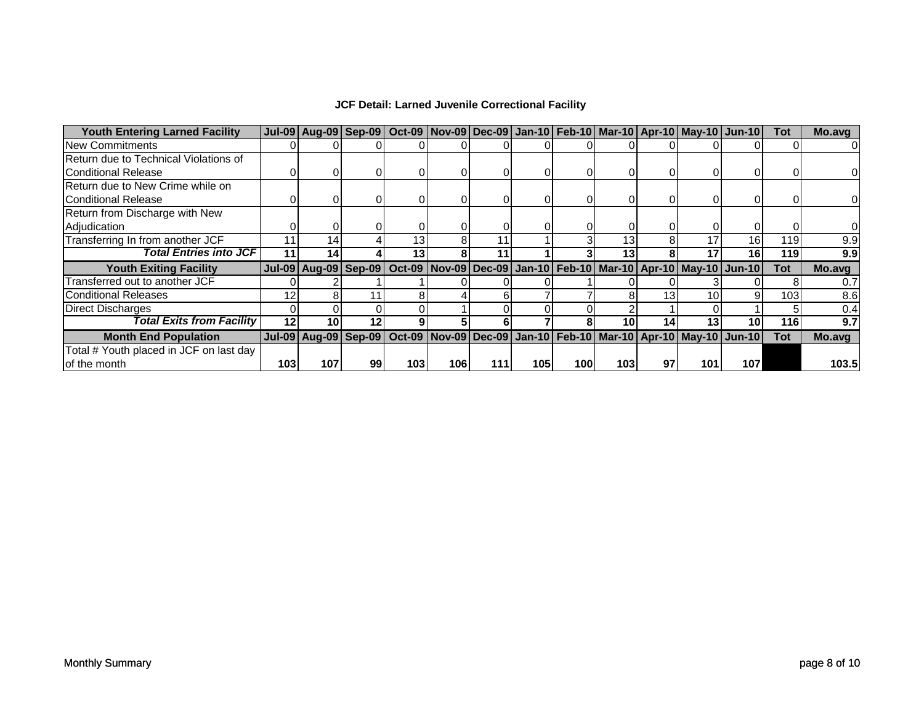| <b>Youth Entering Larned Facility</b>   |     | Jul-09 Aug-09 Sep-09 Oct-09 Nov-09 Dec-09 Jan-10 Feb-10 Mar-10 Apr-10 May-10 Jun-10                   |    |                 |     |     |     |     |      |                 |     |                 | Tot        | Mo.avg |
|-----------------------------------------|-----|-------------------------------------------------------------------------------------------------------|----|-----------------|-----|-----|-----|-----|------|-----------------|-----|-----------------|------------|--------|
| <b>New Commitments</b>                  |     |                                                                                                       |    |                 |     |     |     |     |      |                 |     |                 |            | 01     |
| Return due to Technical Violations of   |     |                                                                                                       |    |                 |     |     |     |     |      |                 |     |                 |            |        |
| <b>Conditional Release</b>              |     |                                                                                                       |    |                 |     |     |     |     |      |                 |     |                 |            | 01     |
| Return due to New Crime while on        |     |                                                                                                       |    |                 |     |     |     |     |      |                 |     |                 |            |        |
| Conditional Release                     |     |                                                                                                       |    |                 |     |     |     |     |      |                 |     |                 |            | 01     |
| Return from Discharge with New          |     |                                                                                                       |    |                 |     |     |     |     |      |                 |     |                 |            |        |
| Adjudication                            |     |                                                                                                       |    |                 |     |     |     |     |      |                 |     |                 |            | 01     |
| Transferring In from another JCF        | 11  | 14.                                                                                                   |    | 13 <sub>1</sub> |     |     |     |     | 13   |                 |     | 16 <sub>1</sub> | 119        | 9.9    |
| <b>Total Entries into JCF</b>           | 11  | 14                                                                                                    |    | 13              |     | 11  |     |     | 13   |                 |     | 16              | 119        | 9.9    |
| <b>Youth Exiting Facility</b>           |     | Jul-09 Aug-09 Sep-09   Oct-09   Nov-09   Dec-09   Jan-10   Feb-10   Mar-10   Apr-10   May-10   Jun-10 |    |                 |     |     |     |     |      |                 |     |                 | <b>Tot</b> | Mo.avg |
| Transferred out to another JCF          |     |                                                                                                       |    |                 |     |     |     |     |      |                 |     |                 |            | 0.7    |
| <b>Conditional Releases</b>             | 12  |                                                                                                       |    |                 |     |     |     |     |      | 13 <sub>1</sub> |     |                 | 103        | 8.6    |
| <b>Direct Discharges</b>                |     |                                                                                                       |    |                 |     |     |     |     |      |                 |     |                 |            | 0.4    |
| Total Exits from Facility               | 12  | 10                                                                                                    | 12 |                 |     |     |     |     | 10   | 14              |     | 10              | 116        | 9.7    |
| <b>Month End Population</b>             |     | Jul-09 Aug-09 Sep-09   Oct-09   Nov-09   Dec-09   Jan-10   Feb-10   Mar-10   Apr-10   May-10   Jun-10 |    |                 |     |     |     |     |      |                 |     |                 | <b>Tot</b> | Mo.avg |
| Total # Youth placed in JCF on last day |     |                                                                                                       |    |                 |     |     |     |     |      |                 |     |                 |            |        |
| of the month                            | 103 | 107                                                                                                   | 99 | 103             | 106 | 111 | 105 | 100 | 1031 | 97              | 101 | 107             |            | 103.5  |

## **JCF Detail: Larned Juvenile Correctional Facility**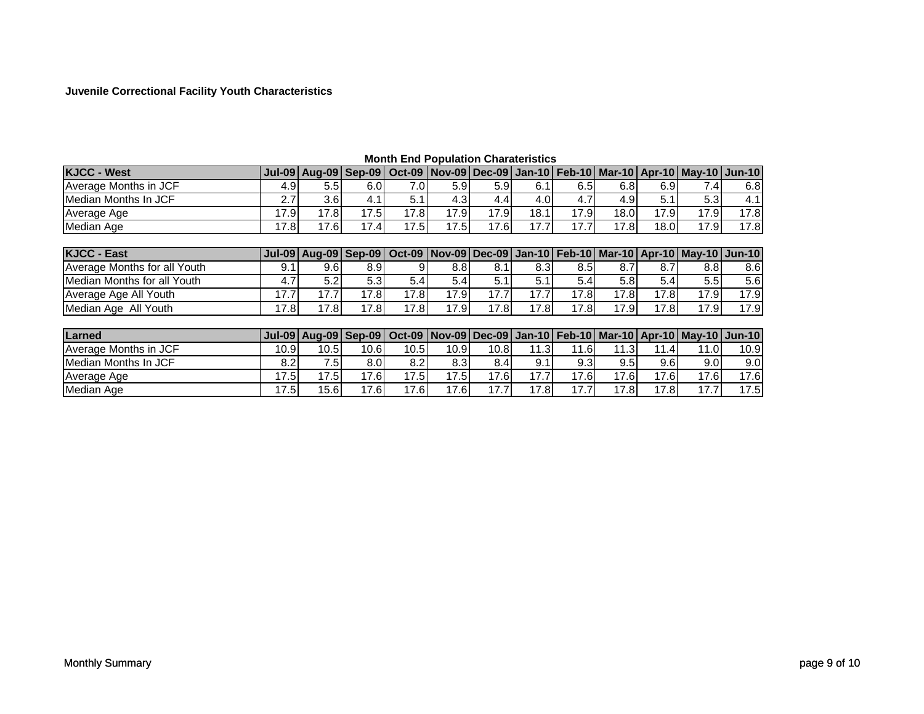### **Juvenile Correctional Facility Youth Characteristics**

| <b>KJCC - West</b>           | $Jul-09$      |                  |                  |      |      |                  |                  |      |      |      | Aug-09 Sep-09 Oct-09 Nov-09 Dec-09 Jan-10 Feb-10 Mar-10 Apr-10 May-10 Jun-10 |      |
|------------------------------|---------------|------------------|------------------|------|------|------------------|------------------|------|------|------|------------------------------------------------------------------------------|------|
| Average Months in JCF        | 4.9           | 5.5 <sub>1</sub> | 6.0              | 7.0I | 5.9  | 5.9 <sub>l</sub> | 6.1              | 6.5  | 6.8  | 6.9  | 7.4I                                                                         | 6.8  |
| Median Months In JCF         | 2.7           | 3.6 <sub>l</sub> | 4.1              | 5.1  | 4.3  | 4.4              | 4.0              | 4.7  | 4.9  | 5.1  | 5.3                                                                          | 4.1  |
| Average Age                  | 17.9          | 17.8             | 17.5             | 17.8 | 17.9 | 17.9             | 18.1             | 17.9 | 18.0 | 17.9 | 17.9                                                                         | 17.8 |
| Median Age                   | 17.8          | 17.6             | 17.4             | 17.5 | 17.5 | 17.6             | 17.7             | 17.7 | 17.8 | 18.0 | 17.9                                                                         | 17.8 |
|                              |               |                  |                  |      |      |                  |                  |      |      |      |                                                                              |      |
| <b>KJCC - East</b>           | <b>Jul-09</b> | Aug-09 Sep-09    |                  |      |      |                  |                  |      |      |      | Oct-09 Nov-09 Dec-09 Jan-10 Feb-10 Mar-10 Apr-10 May-10 Jun-10               |      |
| Average Months for all Youth | 9.1           | 9.6 <sub>1</sub> | 8.9 <sub>l</sub> | 9    | 8.8  | 8.1              | 8.3 <sub>l</sub> | 8.5  | 8.7  | 8.7  | 8.8 <sub>l</sub>                                                             | 8.6  |
| Median Months for all Youth  | 4.7           | 5.2              | 5.3              | 5.4  | 5.4  | 5.1              | 5.1              | 5.4  | 5.8  | 5.4  | 5.5                                                                          | 5.6  |
| Average Age All Youth        | 17.7          | 17.7             | 17.8             | 17.8 | 17.9 | 17.7             | 17.7             | 17.8 | 17.8 | 17.8 | 17.9                                                                         | 17.9 |
| Median Age All Youth         | 17.8          | 17.8             | 17.8             | 17.8 | 17.9 | 17.8             | 17.8             | 17.8 | 17.9 | 17.8 | 17.9                                                                         | 17.9 |
|                              |               |                  |                  |      |      |                  |                  |      |      |      |                                                                              |      |
| Larned                       | <b>Jul-09</b> | Aug-09 Sep-09    |                  |      |      |                  |                  |      |      |      | Oct-09 Nov-09 Dec-09 Jan-10 Feb-10 Mar-10 Apr-10 May-10 Jun-10               |      |
| Average Months in JCF        | 10.9          | 10.5             | 10.6             | 10.5 | 10.9 | 10.8             | 11.31            | 11.6 | 11.3 | 11.4 | 11.0                                                                         | 10.9 |
| <b>Median Months In JCF</b>  | 8.2           | 7.51             | 8.0              | 8.2  | 8.3  | 8.4              | 9.1              | 9.3  | 9.5  | 9.6  | 9.0 <sub>l</sub>                                                             | 9.0  |
| Average Age                  | 17.5          | 17.5             | 17.6             | 17.5 | 17.5 | 17.6             | 17.7             | 17.6 | 17.6 | 17.6 | 17.6                                                                         | 17.6 |
| Median Age                   | 17.5          | 15.6             | 17.6             | 17.6 | 17.6 | 17.7             | 17.8             | 17.7 | 17.8 | 17.8 | 17.7                                                                         | 17.5 |

### **Month End Population Charateristics**